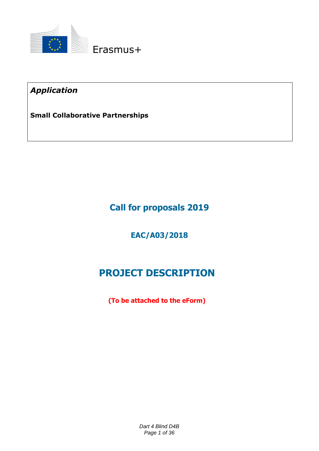

*Application* 

**Small Collaborative Partnerships**

**Call for proposals 2019**

**EAC/A03/2018**

# **PROJECT DESCRIPTION**

**(To be attached to the eForm)**

*Dart 4 Blind D4B Page 1 of 36*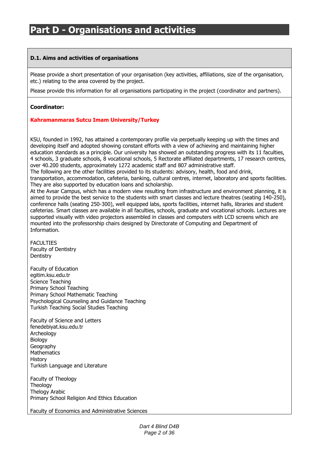### **D.1. Aims and activities of organisations**

Please provide a short presentation of your organisation (key activities, affiliations, size of the organisation, etc.) relating to the area covered by the project.

Please provide this information for all organisations participating in the project (coordinator and partners).

### **Coordinator:**

### **Kahramanmaras Sutcu Imam University/Turkey**

KSU, founded in 1992, has attained a contemporary profile via perpetually keeping up with the times and developing itself and adopted showing constant efforts with a view of achieving and maintaining higher education standards as a principle. Our university has showed an outstanding progress with its 11 faculties, 4 schools, 3 graduate schools, 8 vocational schools, 5 Rectorate affiliated departments, 17 research centres, over 40.200 students, approximately 1272 academic staff and 807 administrative staff.

The following are the other facilities provided to its students: advisory, health, food and drink,

transportation, accommodation, cafeteria, banking, cultural centres, internet, laboratory and sports facilities. They are also supported by education loans and scholarship.

At the Avsar Campus, which has a modern view resulting from infrastructure and environment planning, it is aimed to provide the best service to the students with smart classes and lecture theatres (seating 140-250), conference halls (seating 250-300), well equipped labs, sports facilities, internet halls, libraries and student cafeterias. Smart classes are available in all faculties, schools, graduate and vocational schools. Lectures are supported visually with video projectors assembled in classes and computers with LCD screens which are mounted into the professorship chairs designed by Directorate of Computing and Department of Information.

FACULTIES Faculty of Dentistry **Dentistry** 

Faculty of Education egitim.ksu.edu.tr Science Teaching Primary School Teaching Primary School Mathematic Teaching Psychological Counseling and Guidance Teaching Turkish Teaching Social Studies Teaching

Faculty of Science and Letters fenedebiyat.ksu.edu.tr Archeology **Biology** Geography **Mathematics** History Turkish Language and Literature

Faculty of Theology Theology Thelogy Arabic Primary School Religion And Ethics Education

Faculty of Economics and Administrative Sciences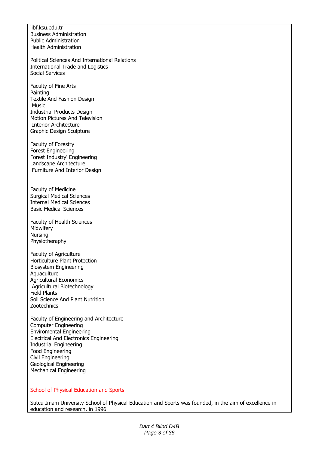iibf.ksu.edu.tr Business Administration Public Administration Health Administration

Political Sciences And International Relations International Trade and Logistics Social Services

Faculty of Fine Arts Painting Textile And Fashion Design Music Industrial Products Design Motion Pictures And Television Interior Architecture Graphic Design Sculpture

Faculty of Forestry Forest Engineering Forest Industry' Engineering Landscape Architecture Furniture And Interior Design

Faculty of Medicine Surgical Medical Sciences Internal Medical Sciences Basic Medical Sciences

Faculty of Health Sciences Midwifery Nursing Physiotheraphy

Faculty of Agriculture Horticulture Plant Protection Biosystem Engineering **Aquaculture** Agricultural Economics Agricultural Biotechnology Field Plants Soil Science And Plant Nutrition **Zootechnics** 

Faculty of Engineering and Architecture Computer Engineering Enviromental Engineering Electrical And Electronics Engineering Industrial Engineering Food Engineering Civil Engineering Geological Engineering Mechanical Engineering

#### School of Physical Education and Sports

Sutcu Imam University School of Physical Education and Sports was founded, in the aim of excellence in education and research, in 1996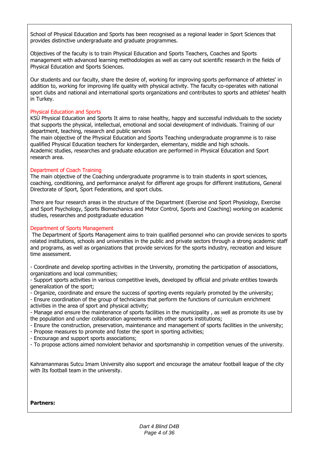School of Physical Education and Sports has been recognised as a regional leader in Sport Sciences that provides distinctive undergraduate and graduate programmes.

Objectives of the faculty is to train Physical Education and Sports Teachers, Coaches and Sports management with advanced learning methodologies as well as carry out scientific research in the fields of Physical Education and Sports Sciences.

Our students and our faculty, share the desire of, working for improving sports performance of athletes' in addition to, working for improving life quality with physical activity. The faculty co-operates with national sport clubs and national and international sports organizations and contributes to sports and athletes' health in Turkey.

### Physical Education and Sports

KSÜ Physical Education and Sports It aims to raise healthy, happy and successful individuals to the society that supports the physical, intellectual, emotional and social development of individuals. Training of our department, teaching, research and public services

The main objective of the Physical Education and Sports Teaching undergraduate programme is to raise qualified Physical Education teachers for kindergarden, elementary, middle and high schools. Academic studies, researches and graduate education are performed in Physical Education and Sport research area.

#### Department of Coach Training

The main objective of the Coaching undergraduate programme is to train students in sport sciences, coaching, conditioning, and performance analyst for different age groups for different institutions, General Directorate of Sport, Sport Federations, and sport clubs.

There are four research areas in the structure of the Department (Exercise and Sport Physiology, Exercise and Sport Psychology, Sports Biomechanics and Motor Control, Sports and Coaching) working on academic studies, researches and postgraduate education

### Department of Sports Management

The Department of Sports Management aims to train qualified personnel who can provide services to sports related institutions, schools and universities in the public and private sectors through a strong academic staff and programs, as well as organizations that provide services for the sports industry, recreation and leisure time assessment.

- Coordinate and develop sporting activities in the University, promoting the participation of associations, organizations and local communities;

- Support sports activities in various competitive levels, developed by official and private entities towards generalization of the sport;

- Organize, coordinate and ensure the success of sporting events regularly promoted by the university;

- Ensure coordination of the group of technicians that perform the functions of curriculum enrichment activities in the area of sport and physical activity;

- Manage and ensure the maintenance of sports facilities in the municipality , as well as promote its use by the population and under collaboration agreements with other sports institutions;

- Ensure the construction, preservation, maintenance and management of sports facilities in the university;

- Propose measures to promote and foster the sport in sporting activities;

- Encourage and support sports associations;

- To propose actions aimed nonviolent behavior and sportsmanship in competition venues of the university.

Kahramanmaras Sutcu Imam University also support and encourage the amateur football league of the city with Its football team in the university.

#### **Partners:**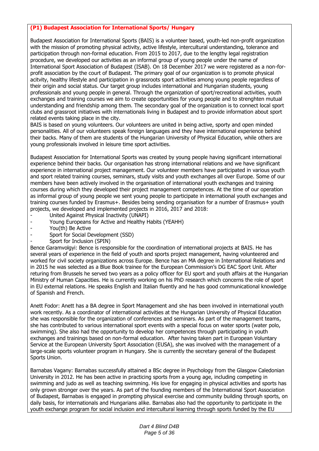### **(P1) Budapest Association for International Sports/ Hungary**

Budapest Association for International Sports (BAIS) is a volunteer based, youth-led non-profit organization with the mission of promoting physical activity, active lifestyle, intercultural understanding, tolerance and participation through non-formal education. From 2015 to 2017, due to the lengthy legal registration procedure, we developed our activities as an informal group of young people under the name of International Sport Association of Budapest (ISAB). On 18 December 2017 we were registered as a non-forprofit association by the court of Budapest. The primary goal of our organization is to promote physical acitvity, healthy lifestyle and participation in grassroots sport activities among young people regardless of their origin and social status. Our target group includes international and Hungarian students, young professionals and young people in general. Through the organization of sport/recreational activities, youth exchanges and training courses we aim to create opportunities for young people and to strenghten mutual understanding and friendship among them. The secondary goal of the organization is to connect local sport clubs and grassroot initiatives with internationals living in Budapest and to provide information about sport related events taking place in the city.

BAIS is based on young volunteers. Our volunteers are united in being active, sporty and open minded personalities. All of our volunteers speak foreign languages and they have international experience behind their backs. Many of them are students of the Hungarian University of Physical Education, while others are young professionals involved in leisure time sport activities.

Budapest Association for International Sports was created by young people having significant international experience behind their backs. Our organisation has strong international relations and we have significant experience in international project management. Our volunteer members have participated in various youth and sport related training courses, seminars, study visits and youth exchanges all over Europe. Some of our members have been actively involved in the organisation of international youth exchanges and training courses during which they developed their project management competences. At the time of our operation as informal group of young people we sent young people to participate in international youth exchanges and training courses funded by Erasmus+. Besides being sending organisation for a number of Erasmus+ youth projects, we developed and implemented projects in 2016, 2017 and 2018:

- United Against Physical Inactivity (UNAPI)
- Young Europeans for Active and Healthy Habits (YEAHH)
- You(th) Be Active
- Sport for Social Development (SSD)
- Sport for Inclusion (SPIN)

Bence Garamvolgyi: Bence is responsible for the coordination of international projects at BAIS. He has several years of experience in the field of youth and sports project management, having volunteered and worked for civil society organizations across Europe. Bence has an MA degree in International Relations and in 2015 he was selected as a Blue Book trainee for the European Commission's DG EAC Sport Unit. After returing from Brussels he served two years as a policy officer for EU sport and youth affairs at the Hungarian Ministry of Human Capacities. He is currently working on his PhD research which concerns the role of sport in EU external relations. He speaks English and Italian fluently and he has good communicational knowledge of Spanish and French.

Anett Fodor: Anett has a BA degree in Sport Management and she has been involved in international youth work recently. As a coordinator of international activities at the Hungarian University of Physical Education she was responsible for the organization of conferences and seminars. As part of the management teams, she has contributed to various international sport events with a special focus on water sports (water polo, swimming). She also had the opportunity to develop her competences through participating in youth exchanges and trainings based on non-formal education. After having taken part in European Voluntary Service at the European University Sport Association (EUSA), she was involved with the management of a large-scale sports volunteer program in Hungary. She is currently the secretary general of the Budapest Sports Union.

Barnabas Vagany: Barnabas successfully attained a BSc degree in Psychology from the Glasgow Caledonian University in 2012. He has been active in practicing sports from a young age, including competing in swimming and judo as well as teaching swimming. His love for engaging in physical activities and sports has only grown stronger over the years. As part of the founding members of the International Sport Association of Budapest, Barnabas is engaged in prompting physical exercise and community building through sports, on daily basis, for internationals and Hungarians alike. Barnabas also had the opportunity to participate in the youth exchange program for social inclusion and intercultural learning through sports funded by the EU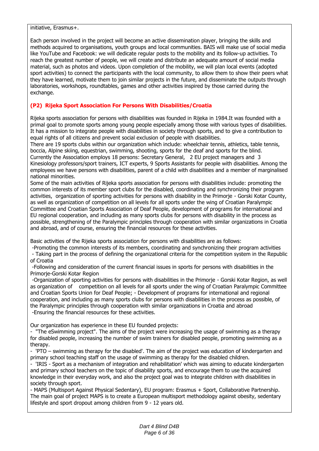#### initiative, Erasmus+.

Each person involved in the project will become an active dissemination player, bringing the skills and methods acquired to organisations, youth groups and local communities. BAIS will make use of social media like YouTube and Facebook: we will dedicate regular posts to the mobility and its follow-up activities. To reach the greatest number of people, we will create and distribute an adequate amount of social media material, such as photos and videos. Upon completion of the mobility, we will plan local events (adopted sport activities) to connect the participants with the local community, to allow them to show their peers what they have learned, motivate them to join similar projects in the future, and disseminate the outputs through laboratories, workshops, roundtables, games and other activities inspired by those carried during the exchange.

### **(P2) Rijeka Sport Association For Persons With Disabilities/Croatia**

Rijeka sports association for persons with disabilities was founded in Rijeka in 1984.It was founded with a primal goal to promote sports among young people especially among those with various types of disabilities. It has a mission to integrate people with disabilities in society through sports, and to give a contribution to equal rights of all citizens and prevent social exclusion of people with disabilities.

There are 19 sports clubs within our organization which include: wheelchair tennis, athletics, table tennis, boccia, Alpine skiing, equestrian, swimming, shooting, sports for the deaf and sports for the blind. Currently the Association employs 18 persons: Secretary General, 2 EU project managers and 3 Kinesiology professors/sport trainers, ICT experts, 9 Sports Assistants for people with disabilities. Among the employees we have persons with disabilities, parent of a child with disabilities and a member of marginalised national minorities.

Some of the main activities of Rijeka sports association for persons with disabilities include: promoting the common interests of its member sport clubs for the disabled, coordinating and synchronizing their program activities, organization of sporting activities for persons with disability in the Primorje - Gorski Kotar County, as well as organization of competition on all levels for all sports under the wing of Croatian Paralympic Committee and Croatian Sports Association of Deaf People, development of programs for international and EU regional cooperation, and including as many sports clubs for persons with disability in the process as possible, strengthening of the Paralympic principles through cooperation with similar organizations in Croatia and abroad, and of course, ensuring the financial resources for these activities.

Basic activities of the Rijeka sports association for persons with disabilities are as follows:

-Promoting the common interests of its members, coordinating and synchronizing their program activities - Taking part in the process of defining the organizational criteria for the competition system in the Republic of Croatia

-Following and consideration of the current financial issues in sports for persons with disabilities in the Primorje-Gorski Kotar Region

-Organization of sporting activities for persons with disabilities in the Primorje - Gorski Kotar Region, as well as organization of competition on all levels for all sports under the wing of Croatian Paralympic Committee and Croatian Sports Union for Deaf People; - Development of programs for international and regional cooperation, and including as many sports clubs for persons with disabilities in the process as possible, of the Paralympic principles through cooperation with similar organizations in Croatia and abroad -Ensuring the financial resources for these activities.

Our organization has experience in these EU founded projects:

- "The eSwimming project". The aims of the project were increasing the usage of swimming as a therapy for disabled people, increasing the number of swim trainers for disabled people, promoting swimming as a therapy.

- 'PTO – swimming as therapy for the disabled'. The aim of the project was education of kindergarten and primary school teaching staff on the usage of swimming as therapy for the disabled children.

- 'IRIS - Sport as a mechanism of integration and rehabilitation' which was aiming to educate kindergarten and primary school teachers on the topic of disability sports, and encourage them to use the acquired knowledge in their everyday work, and also the project goal was to integrate children with disabilities in society through sport.

- MAPS (Multisport Against Physical Sedentary), EU program: Erasmus + Sport, Collaborative Partnership. The main goal of project MAPS is to create a European multisport methodology against obesity, sedentary lifestyle and sport dropout among children from 9 - 12 years old.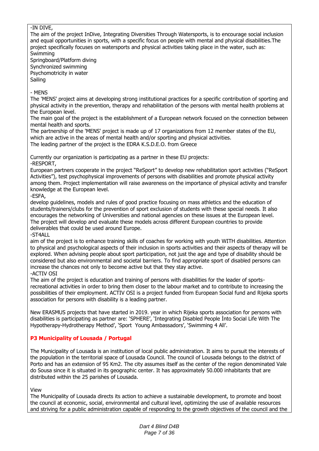### -IN DIVE,

The aim of the project InDive, Integrating Diversities Through Watersports, is to encourage social inclusion and equal opportunities in sports, with a specific focus on people with mental and physical disabilities.The project specifically focuses on watersports and physical activities taking place in the water, such as: Swimming

Springboard/Platform diving Synchronized swimming Psychomotricity in water Sailing

- MENS

The 'MENS' project aims at developing strong institutional practices for a specific contribution of sporting and physical activity in the prevention, therapy and rehabilitation of the persons with mental health problems at the European level.

The main goal of the project is the establishment of a European network focused on the connection between mental health and sports.

The partnership of the 'MENS' project is made up of 17 organizations from 12 member states of the EU, which are active in the areas of mental health and/or sporting and physical activities.

The leading partner of the project is the EDRA K.S.D.E.O. from Greece

Currently our organization is participating as a partner in these EU projects: -RESPORT,

European partners cooperate in the project "ReSport" to develop new rehabilitation sport activities ("ReSport Activities"), test psychophysical improvements of persons with disabilities and promote physical activity among them. Project implementation will raise awareness on the importance of physical activity and transfer knowledge at the European level.

-ESFA,

develop guidelines, models and rules of good practice focusing on mass athletics and the education of students/trainers/clubs for the prevention of sport exclusion of students with these special needs. It also encourages the networking of Universities and national agencies on these issues at the European level. The project will develop and evaluate these models across different European countries to provide deliverables that could be used around Europe.

-ST4ALL

aim of the project is to enhance training skills of coaches for working with youth WITH disabilities. Attention to physical and psychological aspects of their inclusion in sports activities and their aspects of therapy will be explored. When advising people about sport participation, not just the age and type of disability should be considered but also environmental and societal barriers. To find appropriate sport of disabled persons can increase the chances not only to become active but that they stay active. -ACTIV OSI

The aim of the project is education and training of persons with disabilities for the leader of sportsrecreational activities in order to bring them closer to the labour market and to contribute to increasing the possibilities of their employment. ACTIV OSI is a project funded from European Social fund and Rijeka sports association for persons with disability is a leading partner.

New ERASMUS projects that have started in 2019. year in which Rijeka sports association for persons with disabilities is participating as partner are: 'SPHERE', 'Integrating Disabled People İnto Social Life With The Hypotherapy-Hydrotherapy Method', 'Sport Young Ambassadors', 'Swimming 4 All'.

### **P3 Municipality of Lousada / Portugal**

The Municipality of Lousada is an institution of local public administration. It aims to pursuit the interests of the population in the territorial space of Lousada Council. The council of Lousada belongs to the district of Porto and has an extension of 95 Km2. The city assumes itself as the center of the region denominated Vale do Sousa since it is situated in its geographic center. It has approximately 50.000 inhabitants that are distributed within the 25 parishes of Lousada.

View

The Municipality of Lousada directs its action to achieve a sustainable development, to promote and boost the council at economic, social, environmental and cultural level, optimizing the use of available resources and striving for a public administration capable of responding to the growth objectives of the council and the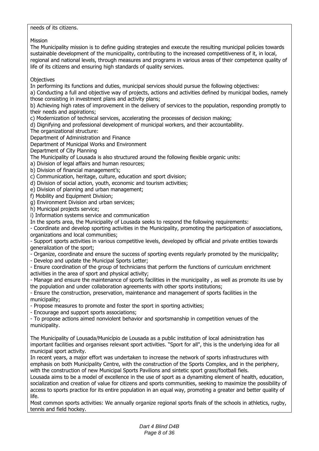### needs of its citizens.

Mission

The Municipality mission is to define guiding strategies and execute the resulting municipal policies towards sustainable development of the municipality, contributing to the increased competitiveness of it, in local, regional and national levels, through measures and programs in various areas of their competence quality of life of its citizens and ensuring high standards of quality services.

### **Objectives**

In performing its functions and duties, municipal services should pursue the following objectives:

a) Conducting a full and objective way of projects, actions and activities defined by municipal bodies, namely those consisting in investment plans and activity plans;

b) Achieving high rates of improvement in the delivery of services to the population, responding promptly to their needs and aspirations;

c) Modernization of technical services, accelerating the processes of decision making;

d) Dignifying and professional development of municipal workers, and their accountability.

The organizational structure:

Department of Administration and Finance

Department of Municipal Works and Environment

Department of City Planning

The Municipality of Lousada is also structured around the following flexible organic units:

a) Division of legal affairs and human resources;

b) Division of financial management's;

c) Communication, heritage, culture, education and sport division;

d) Division of social action, youth, economic and tourism activities;

e) Division of planning and urban management;

f) Mobility and Equipment Division;

g) Environment Division and urban services;

h) Municipal projects service;

i) Information systems service and communication

In the sports area, the Municipality of Lousada seeks to respond the following requirements:

- Coordinate and develop sporting activities in the Municipality, promoting the participation of associations, organizations and local communities;

- Support sports activities in various competitive levels, developed by official and private entities towards generalization of the sport;

- Organize, coordinate and ensure the success of sporting events regularly promoted by the municipality;

- Develop and update the Municipal Sports Letter;

- Ensure coordination of the group of technicians that perform the functions of curriculum enrichment activities in the area of sport and physical activity;

- Manage and ensure the maintenance of sports facilities in the municipality , as well as promote its use by the population and under collaboration agreements with other sports institutions;

- Ensure the construction, preservation, maintenance and management of sports facilities in the municipality;

- Propose measures to promote and foster the sport in sporting activities;

- Encourage and support sports associations;

- To propose actions aimed nonviolent behavior and sportsmanship in competition venues of the municipality.

The Municipality of Lousada/Município de Lousada as a public institution of local administration has important facilities and organises relevant sport activities. "Sport for all", this is the underlying idea for all municipal sport activity.

In recent years, a major effort was undertaken to increase the network of sports infrastructures with emphasis on both Municipality Centre, with the construction of the Sports Complex, and in the periphery, with the construction of new Municipal Sports Pavilions and sintetic sport grass/football fiels.

Lousada aims to be a model of excellence in the use of sport as a dynamiting element of health, education, socialization and creation of value for citizens and sports communities, seeking to maximize the possibility of access to sports practice for its entire population in an equal way, promoting a greater and better quality of life.

Most common sports activities: We annually organize regional sports finals of the schools in athletics, rugby, tennis and field hockey.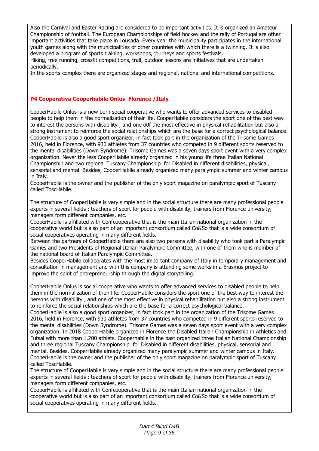Also the Carnival and Easter Racing are considered to be important activities. It is organized an Amateur Championship of football. The European Championships of field hockey and the rally of Portugal are other important activities that take place in Lousada. Every year the municipality participates in the international youth games along with the municipalities of other countries with which there is a twinning. It is also developed a program of sports training, workshops, journeys and sports festivals.

Hiking, free running, crossfit competitions, trail, outdoor lessons are initiatives that are undertaken periodically.

In the sports complex there are organized stages and regional, national and international competitions.

### **P4 Cooperativa Cooperhabile Onlus Florence /İtaly**

CooperHabile Onlus is a new born social cooperative who wants to offer advanced services to disabled people to help them in the normalization of their life. CooperHabile considers the sport one of the best way to interest the persons with disability , and one o0f the most effective in physical rehabilitation but also a strong instrument to reinforce the social relationships which are the base for a correct psychological balance. CooperHabile is also a good sport organizer, in fact took part in the organization of the Trisome Games 2016, held in Florence, with 930 athletes from 37 countries who competed in 9 different sports reserved to the mental disabilities (Down Syndrome). Trisome Games was a seven days sport event with a very complex organization. Never the less CooperHabile already organized in his young life three Italian National Championship and two regional Tuscany Championship for Disabled in different disabilities, physical, sensorial and mental. Besides, CooperHabile already organized many paralympic summer and winter campus in Italy.

CooperHabile is the owner and the publisher of the only sport magazine on paralympic sport of Tuscany called ToscHabile.

The structure of CooperHabile is very simple and in the social structure there are many professional people experts in several fields : teachers of sport for people with disability, trainers from Florence university, managers form different companies, etc.

CooperHabile is affiliated with Confcooperative that is the main Italian national organization in the cooperative world but is also part of an important consortium called Co&So that is a wide consortium of social cooperatives operating in many different fields.

Between the partners of CooperHabile there are also two persons with disability who took part a Paralympic Games and two Presidents of Regional Italian Paralympic Committee, with one of them who is member of the national board of Italian Paralympic Committee.

Besides CooperHabile collaborates with the most important company of Italy in temporary management and consultation in management and with this company is attending some works in a Erasmus project to improve the spirit of entrepreneurship through the digital storytelling.

CooperHabile Onlus is social cooperative who wants to offer advanced services to disabled people to help them in the normalization of their life. CooperHabile considers the sport one of the best way to interest the persons with disability , and one of the most effective in physical rehabilitation but also a strong instrument to reinforce the social relationships which are the base for a correct psychological balance.

CooperHabile is also a good sport organizer, in fact took part in the organization of the Trisome Games 2016, held in Florence, with 930 athletes from 37 countries who competed in 9 different sports reserved to the mental disabilities (Down Syndrome). Trisome Games was a seven days sport event with a very complex organization. In 2018 CooperHabile organized in Florence the Disabled Italian Championship in Athletics and Futsal with more than 1.200 athlets. Cooperhabile in the past organized three Italian National Championship and three regional Tuscany Championship for Disabled in different disabilities, physical, sensorial and mental. Besides, CooperHabile already organized many paralympic summer and winter campus in Italy. CooperHabile is the owner and the publisher of the only sport magazine on paralympic sport of Tuscany called ToscHabile.

The structure of CooperHabile is very simple and in the social structure there are many professional people experts in several fields : teachers of sport for people with disability, trainers from Florence university, managers form different companies, etc.

CooperHabile is affiliated with Confcooperative that is the main Italian national organization in the cooperative world but is also part of an important consortium called Co&So that is a wide consortium of social cooperatives operating in many different fields.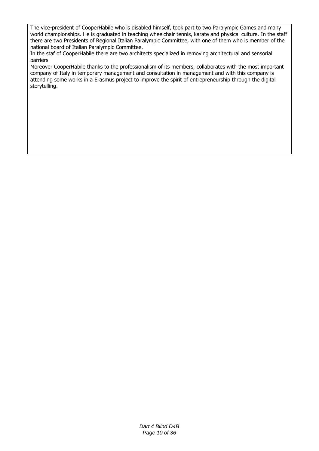The vice-president of CooperHabile who is disabled himself, took part to two Paralympic Games and many world championships. He is graduated in teaching wheelchair tennis, karate and physical culture. In the staff there are two Presidents of Regional Italian Paralympic Committee, with one of them who is member of the national board of Italian Paralympic Committee.

In the staf of CooperHabile there are two architects specialized in removing architectural and sensorial barriers

Moreover CooperHabile thanks to the professionalism of its members, collaborates with the most important company of Italy in temporary management and consultation in management and with this company is attending some works in a Erasmus project to improve the spirit of entrepreneurship through the digital storytelling.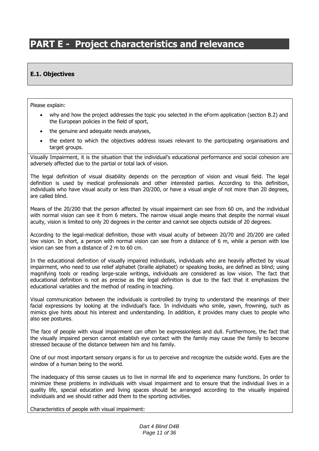# **PART E - Project characteristics and relevance**

### **E.1. Objectives**

Please explain:

- why and how the project addresses the topic you selected in the eForm application (section B.2) and the European policies in the field of sport,
- the genuine and adequate needs analyses,
- the extent to which the objectives address issues relevant to the participating organisations and target groups.

Visually Impairment, it is the situation that the individual's educational performance and social cohesion are adversely affected due to the partial or total lack of vision.

The legal definition of visual disability depends on the perception of vision and visual field. The legal definition is used by medical professionals and other interested parties. According to this definition, individuals who have visual acuity or less than 20/200, or have a visual angle of not more than 20 degrees, are called blind.

Means of the 20/200 that the person affected by visual impairment can see from 60 cm, and the individual with normal vision can see it from 6 meters. The narrow visual angle means that despite the normal visual acuity, vision is limited to only 20 degrees in the center and cannot see objects outside of 20 degrees.

According to the legal-medical definition, those with visual acuity of between 20/70 and 20/200 are called low vision. In short, a person with normal vision can see from a distance of 6 m, while a person with low vision can see from a distance of 2 m to 60 cm.

In the educational definition of visually impaired individuals, individuals who are heavily affected by visual impairment, who need to use relief alphabet (braille alphabet) or speaking books, are defined as blind; using magnifying tools or reading large-scale writings, individuals are considered as low vision. The fact that educational definition is not as precise as the legal definition is due to the fact that it emphasizes the educational variables and the method of reading in teaching.

Visual communication between the individuals is controlled by trying to understand the meanings of their facial expressions by looking at the individual's face. In individuals who smile, yawn, frowning, such as mimics give hints about his interest and understanding. In addition, it provides many clues to people who also see postures.

The face of people with visual impairment can often be expressionless and dull. Furthermore, the fact that the visually impaired person cannot establish eye contact with the family may cause the family to become stressed because of the distance between him and his family.

One of our most important sensory organs is for us to perceive and recognize the outside world. Eyes are the window of a human being to the world.

The inadequacy of this sense causes us to live in normal life and to experience many functions. In order to minimize these problems in individuals with visual impairment and to ensure that the individual lives in a quality life, special education and living spaces should be arranged according to the visually impaired individuals and we should rather add them to the sporting activities.

Characteristics of people with visual impairment: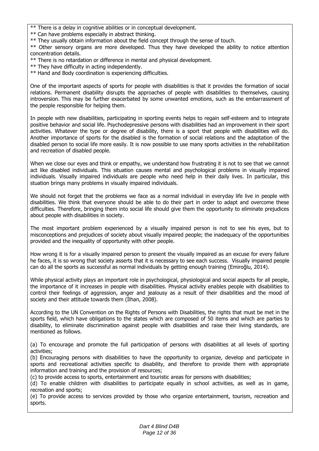- \*\* There is a delay in cognitive abilities or in conceptual development.
- \*\* Can have problems especially in abstract thinking.
- \*\* They usually obtain information about the field concept through the sense of touch.

\*\* Other sensory organs are more developed. Thus they have developed the ability to notice attention concentration details.

- \*\* There is no retardation or difference in mental and physical development.
- \*\* They have difficulty in acting independently.
- \*\* Hand and Body coordination is experiencing difficulties.

One of the important aspects of sports for people with disabilities is that it provides the formation of social relations. Permanent disability disrupts the approaches of people with disabilities to themselves, causing introversion. This may be further exacerbated by some unwanted emotions, such as the embarrassment of the people responsible for helping them.

In people with new disabilities, participating in sporting events helps to regain self-esteem and to integrate positive behavior and social life. Psychodepressive persons with disabilities had an improvement in their sport activities. Whatever the type or degree of disability, there is a sport that people with disabilities will do. Another importance of sports for the disabled is the formation of social relations and the adaptation of the disabled person to social life more easily. It is now possible to use many sports activities in the rehabilitation and recreation of disabled people.

When we close our eyes and think or empathy, we understand how frustrating it is not to see that we cannot act like disabled individuals. This situation causes mental and psychological problems in visually impaired individuals. Visually impaired individuals are people who need help in their daily lives. In particular, this stuation brings many problems in visually impaired individuals.

We should not forget that the problems we face as a normal individual in everyday life live in people with disabilities. We think that everyone should be able to do their part in order to adapt and overcome these difficulties. Therefore, bringing them into social life should give them the opportunity to eliminate prejudices about people with disabilities in society.

The most important problem experienced by a visually impaired person is not to see his eyes, but to misconceptions and prejudices of society about visually impaired people; the inadequacy of the opportunities provided and the inequality of opportunity with other people.

How wrong it is for a visually impaired person to present the visually impaired as an excuse for every failure he faces, it is so wrong that society asserts that it is necessary to see each success. Visually impaired people can do all the sports as successful as normal individuals by getting enough training (Emiroğlu, 2014).

While physical activity plays an important role in psychological, physiological and social aspects for all people, the importance of it increases in people with disabilities. Physical activity enables people with disabilities to control their feelings of aggression, anger and jealousy as a result of their disabilities and the mood of society and their attitude towards them (İlhan, 2008).

According to the UN Convention on the Rights of Persons with Disabilities, the rights that must be met in the sports field, which have obligations to the states which are composed of 50 items and which are parties to disability, to eliminate discrimination against people with disabilities and raise their living standards, are mentioned as follows.

(a) To encourage and promote the full participation of persons with disabilities at all levels of sporting activities;

(b) Encouraging persons with disabilities to have the opportunity to organize, develop and participate in sports and recreational activities specific to disability, and therefore to provide them with appropriate information and training and the provision of resources;

(c) to provide access to sports, entertainment and touristic areas for persons with disabilities;

(d) To enable children with disabilities to participate equally in school activities, as well as in game, recreation and sports;

(e) To provide access to services provided by those who organize entertainment, tourism, recreation and sports.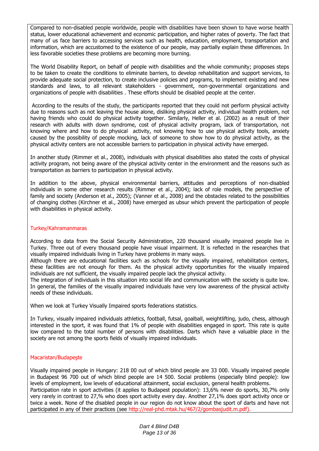Compared to non-disabled people worldwide, people with disabilities have been shown to have worse health status, lower educational achievement and economic participation, and higher rates of poverty. The fact that many of us face barriers to accessing services such as health, education, employment, transportation and information, which are accustomed to the existence of our people, may partially explain these differences. In less favorable societies these problems are becoming more burning.

The World Disability Report, on behalf of people with disabilities and the whole community; proposes steps to be taken to create the conditions to eliminate barriers, to develop rehabilitation and support services, to provide adequate social protection, to create inclusive policies and programs, to implement existing and new standards and laws, to all relevant stakeholders - government, non-governmental organizations and organizations of people with disabilities . These efforts should be disabled people at the center.

According to the results of the study, the participants reported that they could not perform physical activity due to reasons such as not leaving the house alone, disliking physical activity, individual health problem, not having friends who could do physical activity together. Similarly, Heller et al. (2002) as a result of their research with adults with down syndrome, cost of physical activity program, lack of transportation, not knowing where and how to do physical activity, not knowing how to use physical activity tools, anxiety caused by the possibility of people mocking, lack of someone to show how to do physical activity, as the physical activity centers are not accessible barriers to participation in physical activity have emerged.

In another study (Rimmer et al., 2008), individuals with physical disabilities also stated the costs of physical activity program, not being aware of the physical activity center in the environment and the reasons such as transportation as barriers to participation in physical activity.

In addition to the above, physical environmental barriers, attitudes and perceptions of non-disabled individuals in some other research results (Rimmer et al., 2004); lack of role models, the perspective of family and society (Anderson et al., 2005); (Vanner et al., 2008) and the obstacles related to the possibilities of changing clothes (Kirchner et al., 2008) have emerged as ubsur which prevent the participation of people with disabilities in physical activity.

### Turkey/Kahramanmaras

According to data from the Social Security Administration, 220 thousand visually impaired people live in Turkey. Three out of every thousand people have visual impairment. It is reflected in the researches that visually impaired individuals living in Turkey have problems in many ways.

Although there are educational facilities such as schools for the visually impaired, rehabilitation centers, these facilities are not enough for them. As the physical activity opportunities for the visually impaired individuals are not sufficient, the visually impaired people lack the physical activity.

The integration of individuals in this situation into social life and communication with the society is quite low. In general, the families of the visually impaired individuals have very low awareness of the physical activity needs of these individuals.

When we look at Turkey Visually Impaired sports federations statistics.

In Turkey, visually impaired individuals athletics, football, futsal, goalball, weightlifting, judo, chess, although interested in the sport, it was found that 1% of people with disabilities engaged in sport. This rate is quite low compared to the total number of persons with disabilities. Darts which have a valuable place in the society are not among the sports fields of visually impaired individuals.

#### Macaristan/Budapeşte

Visually impaired people in Hungary: 218 00 out of which blind people are 33 000. Visually impaired people in Budapest 96 700 out of which blind people are 14 500. Social problems (especially blind people): low levels of employment, low levels of educational attainment, social exclusion, general health problems. Participation rate in sport activities (it applies to Budapest population): 13,6% never do sports, 30,7% only very rarely in contrast to 27,% who does sport activity every day. Another 27,1% does sport activity once or twice a week. None of the disabled people in our region do not know about the sport of darts and have not participated in any of their practices (see http://real-phd.mtak.hu/467/2/gombasjudit.m.pdf).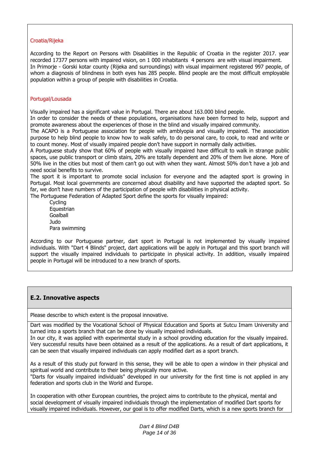### Croatia/Rijeka

According to the Report on Persons with Disabilities in the Republic of Croatia in the register 2017. year recorded 17377 persons with impaired vision, on 1 000 inhabitants 4 persons are with visual impairment. In Primorje - Gorski kotar county (Rijeka and surroundings) with visual impairment registered 997 people, of whom a diagnosis of blindness in both eyes has 285 people. Blind people are the most difficult employable population within a group of people with disabilities in Croatia.

### Portugal/Lousada

Visually impaired has a significant value in Portugal. There are about 163.000 blind people.

In order to consider the needs of these populations, organisations have been formed to help, support and promote awareness about the experiences of those in the blind and visually impaired community.

The ACAPO is a Portuguese association for people with amblyopia and visually impaired. The association purpose to help blind people to know how to walk safely, to do personal care, to cook, to read and write or to count money. Most of visually impaired people don't have support in normally daily activities.

A Portuguese study show that 60% of people with visually impaired have difficult to walk in strange public spaces, use public transport or climb stairs, 20% are totally dependent and 20% of them live alone. More of 50% live in the cities but most of them can't go out with when they want. Almost 50% don't have a job and need social benefits to survive.

The sport it is important to promote social inclusion for everyone and the adapted sport is growing in Portugal. Most local governments are concerned about disability and have supported the adapted sport. So far, we don't have numbers of the participation of people with disabilities in physical activity.

The Portuguese Federation of Adapted Sport define the sports for visually impaired:

Cycling **Equestrian** Goalball Judo Para swimming

According to our Portuguese partner, dart sport in Portugal is not implemented by visually impaired individuals. With "Dart 4 Blinds" project, dart applications will be apply in Portugal and this sport branch will support the visually impaired individuals to participate in physical activity. In addition, visually impaired people in Portugal will be introduced to a new branch of sports.

### **E.2. Innovative aspects**

Please describe to which extent is the proposal innovative.

Dart was modified by the Vocational School of Physical Education and Sports at Sutcu Imam University and turned into a sports branch that can be done by visually impaired individuals.

In our city, it was applied with experimental study in a school providing education for the visually impaired. Very successful results have been obtained as a result of the applications. As a result of dart applications, it can be seen that visually impaired individuals can apply modified dart as a sport branch.

As a result of this study put forward in this sense, they will be able to open a window in their physical and spiritual world and contribute to their being physically more active.

"Darts for visually impaired individuals" developed in our university for the first time is not applied in any federation and sports club in the World and Europe.

In cooperation with other European countries, the project aims to contribute to the physical, mental and social development of visually impaired individuals through the implementation of modified Dart sports for visually impaired individuals. However, our goal is to offer modified Darts, which is a new sports branch for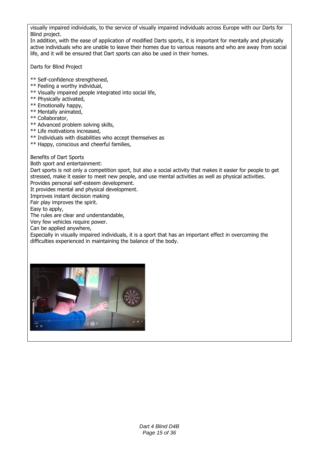visually impaired individuals, to the service of visually impaired individuals across Europe with our Darts for Blind project.

In addition, with the ease of application of modified Darts sports, it is important for mentally and physically active individuals who are unable to leave their homes due to various reasons and who are away from social life, and it will be ensured that Dart sports can also be used in their homes.

Darts for Blind Project

- \*\* Self-confidence strengthened,
- \*\* Feeling a worthy individual,
- \*\* Visually impaired people integrated into social life,
- \*\* Physically activated,
- \*\* Emotionally happy,
- \*\* Mentally animated,
- \*\* Collaborator,
- \*\* Advanced problem solving skills,
- \*\* Life motivations increased,
- \*\* Individuals with disabilities who accept themselves as
- \*\* Happy, conscious and cheerful families,

Benefits of Dart Sports

Both sport and entertainment:

Dart sports is not only a competition sport, but also a social activity that makes it easier for people to get stressed, make it easier to meet new people, and use mental activities as well as physical activities. Provides personal self-esteem development.

It provides mental and physical development.

Improves instant decision making

Fair play improves the spirit.

Easy to apply,

The rules are clear and understandable,

Very few vehicles require power.

Can be applied anywhere,

Especially in visually impaired individuals, it is a sport that has an important effect in overcoming the difficulties experienced in maintaining the balance of the body.

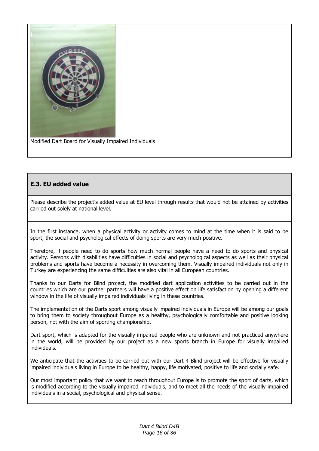

Modified Dart Board for Visually Impaired Individuals

### **E.3. EU added value**

Please describe the project's added value at EU level through results that would not be attained by activities carried out solely at national level.

In the first instance, when a physical activity or activity comes to mind at the time when it is said to be sport, the social and psychological effects of doing sports are very much positive.

Therefore, if people need to do sports how much normal people have a need to do sports and physical activity. Persons with disabilities have difficulties in social and psychological aspects as well as their physical problems and sports have become a necessity in overcoming them. Visually impaired individuals not only in Turkey are experiencing the same difficulties are also vital in all European countries.

Thanks to our Darts for Blind project, the modified dart application activities to be carried out in the countries which are our partner partners will have a positive effect on life satisfaction by opening a different window in the life of visually impaired individuals living in these countries.

The implementation of the Darts sport among visually impaired individuals in Europe will be among our goals to bring them to society throughout Europe as a healthy, psychologically comfortable and positive looking person, not with the aim of sporting championship.

Dart sport, which is adapted for the visually impaired people who are unknown and not practiced anywhere in the world, will be provided by our project as a new sports branch in Europe for visually impaired individuals.

We anticipate that the activities to be carried out with our Dart 4 Blind project will be effective for visually impaired individuals living in Europe to be healthy, happy, life motivated, positive to life and socially safe.

Our most important policy that we want to reach throughout Europe is to promote the sport of darts, which is modified according to the visually impaired individuals, and to meet all the needs of the visually impaired individuals in a social, psychological and physical sense.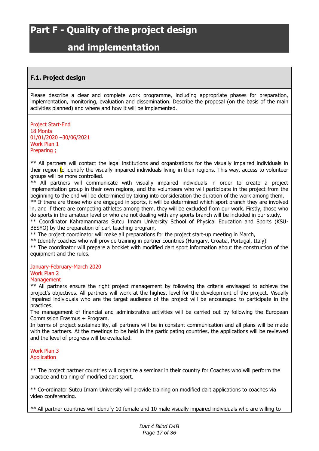# **Part F - Quality of the project design**

## **and implementation**

### **F.1. Project design**

Please describe a clear and complete work programme, including appropriate phases for preparation, implementation, monitoring, evaluation and dissemination. Describe the proposal (on the basis of the main activities planned) and where and how it will be implemented.

Project Start-End 18 Monts 01/01/2020 –30/06/2021 Work Plan 1 Preparing ;

\*\* All partners will contact the legal institutions and organizations for the visually impaired individuals in their region to identify the visually impaired individuals living in their regions. This way, access to volunteer groups will be more controlled.

\*\* All partners will communicate with visually impaired individuals in order to create a project implementation group in their own regions, and the volunteers who will participate in the project from the beginning to the end will be determined by taking into consideration the duration of the work among them. \*\* If there are those who are engaged in sports, it will be determined which sport branch they are involved

in, and if there are competing athletes among them, they will be excluded from our work. Firstly, those who do sports in the amateur level or who are not dealing with any sports branch will be included in our study. \*\* Coordinator Kahramanmaras Sutcu Imam University School of Physical Education and Sports (KSU-

BESYO) by the preparation of dart teaching program,

\*\* The project coordinator will make all preparations for the project start-up meeting in March,

\*\* Identify coaches who will provide training in partner countries (Hungary, Croatia, Portugal, Italy)

\*\* The coordinator will prepare a booklet with modified dart sport information about the construction of the equipment and the rules.

### January-February-March 2020

#### Work Plan 2 **Management**

\*\* All partners ensure the right project management by following the criteria envisaged to achieve the project's objectives. All partners will work at the highest level for the development of the project. Visually impaired individuals who are the target audience of the project will be encouraged to participate in the practices.

The management of financial and administrative activities will be carried out by following the European Commission Erasmus + Program.

In terms of project sustainability, all partners will be in constant communication and all plans will be made with the partners. At the meetings to be held in the participating countries, the applications will be reviewed and the level of progress will be evaluated.

#### Work Plan 3 Application

\*\* The project partner countries will organize a seminar in their country for Coaches who will perform the practice and training of modified dart sport.

\*\* Co-ordinator Sutcu Imam University will provide training on modified dart applications to coaches via video conferencing.

\*\* All partner countries will identify 10 female and 10 male visually impaired individuals who are willing to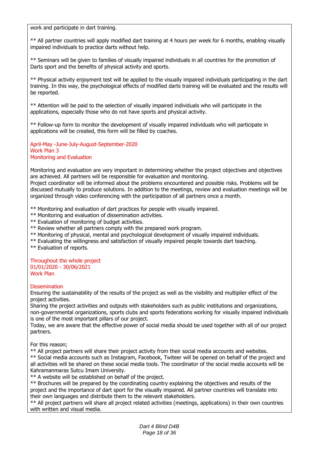work and participate in dart training.

\*\* All partner countries will apply modified dart training at 4 hours per week for 6 months, enabling visually impaired individuals to practice darts without help.

\*\* Seminars will be given to families of visually impaired individuals in all countries for the promotion of Darts sport and the benefits of physical activity and sports.

\*\* Physical activity enjoyment test will be applied to the visually impaired individuals participating in the dart training. In this way, the psychological effects of modified darts training will be evaluated and the results will be reported.

\*\* Attention will be paid to the selection of visually impaired individuals who will participate in the applications, especially those who do not have sports and physical activity.

\*\* Follow-up form to monitor the development of visually impaired individuals who will participate in applications will be created, this form will be filled by coaches.

April-May -June-July-August-September-2020 Work Plan 3 Monitoring and Evaluation

Monitoring and evaluation are very important in determining whether the project objectives and objectives are achieved. All partners will be responsible for evaluation and monitoring.

Project coordinator will be informed about the problems encountered and possible risks. Problems will be discussed mutually to produce solutions. In addition to the meetings, review and evaluation meetings will be organized through video conferencing with the participation of all partners once a month.

\*\* Monitoring and evaluation of dart practices for people with visually impaired.

- \*\* Monitoring and evaluation of dissemination activities.
- \*\* Evaluation of monitoring of budget activities.
- \*\* Review whether all partners comply with the prepared work program.
- \*\* Monitoring of physical, mental and psychological development of visually impaired individuals.
- \*\* Evaluating the willingness and satisfaction of visually impaired people towards dart teaching.
- \*\* Evaluation of reports.

#### Throughout the whole project 01/01/2020 - 30/06/2021 Work Plan

#### **Dissemination**

Ensuring the sustainability of the results of the project as well as the visibility and multiplier effect of the project activities.

Sharing the project activities and outputs with stakeholders such as public institutions and organizations, non-governmental organizations, sports clubs and sports federations working for visually impaired individuals is one of the most important pillars of our project.

Today, we are aware that the effective power of social media should be used together with all of our project partners.

For this reason;

\*\* All project partners will share their project activity from their social media accounts and websites.

\*\* Social media accounts such as Instagram, Facebook, Twiteer will be opened on behalf of the project and all activities will be shared on these social media tools. The coordinator of the social media accounts will be Kahramanmaras Sutcu Imam University.

\*\* A website will be established on behalf of the project.

\*\* Brochures will be prepared by the coordinating country explaining the objectives and results of the project and the importance of dart sport for the visually impaired. All partner countries will translate into their own languages and distribute them to the relevant stakeholders.

\*\* All project partners will share all project related activities (meetings, applications) in their own countries with written and visual media.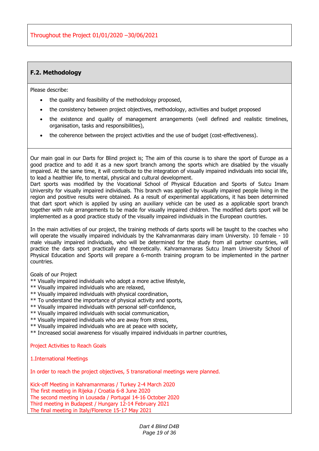### **F.2. Methodology**

Please describe:

- the quality and feasibility of the methodology proposed,
- the consistency between project objectives, methodology, activities and budget proposed
- the existence and quality of management arrangements (well defined and realistic timelines, organisation, tasks and responsibilities),
- the coherence between the project activities and the use of budget (cost-effectiveness).

Our main goal in our Darts for Blind project is; The aim of this course is to share the sport of Europe as a good practice and to add it as a new sport branch among the sports which are disabled by the visually impaired. At the same time, it will contribute to the integration of visually impaired individuals into social life, to lead a healthier life, to mental, physical and cultural development.

Dart sports was modified by the Vocational School of Physical Education and Sports of Sutcu Imam University for visually impaired individuals. This branch was applied by visually impaired people living in the region and positive results were obtained. As a result of experimental applications, it has been determined that dart sport which is applied by using an auxiliary vehicle can be used as a applicable sport branch together with rule arrangements to be made for visually impaired children. The modified darts sport will be implemented as a good practice study of the visually impaired individuals in the European countries.

In the main activities of our project, the training methods of darts sports will be taught to the coaches who will operate the visually impaired individuals by the Kahramanmaras dairy imam University. 10 female - 10 male visually impaired individuals, who will be determined for the study from all partner countries, will practice the darts sport practically and theoretically. Kahramanmaras Sutcu Imam University School of Physical Education and Sports will prepare a 6-month training program to be implemented in the partner countries.

Goals of our Project

- \*\* Visually impaired individuals who adopt a more active lifestyle,
- \*\* Visually impaired individuals who are relaxed,
- \*\* Visually impaired individuals with physical coordination,
- \*\* To understand the importance of physical activity and sports,
- \*\* Visually impaired individuals with personal self-confidence,
- \*\* Visually impaired individuals with social communication,
- \*\* Visually impaired individuals who are away from stress,
- \*\* Visually impaired individuals who are at peace with society,
- \*\* Increased social awareness for visually impaired individuals in partner countries,

Project Activities to Reach Goals

1.International Meetings

In order to reach the project objectives, 5 transnational meetings were planned.

Kick-off Meeting in Kahramanmaras / Turkey 2-4 March 2020 The first meeting in Rijeka / Croatia 6-8 June 2020 The second meeting in Lousada / Portugal 14-16 October 2020 Third meeting in Budapest / Hungary 12-14 February 2021 The final meeting in Italy/Florence 15-17 May 2021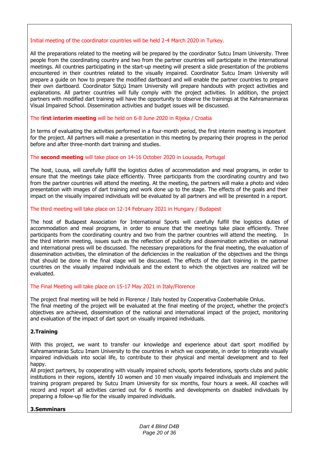### Initial meeting of the coordinator countries will be held 2-4 March 2020 in Turkey.

All the preparations related to the meeting will be prepared by the coordinator Sutcu Imam University. Three people from the coordinating country and two from the partner countries will participate in the international meetings. All countries participating in the start-up meeting will present a slide presentation of the problems encountered in their countries related to the visually impaired. Coordinator Sutcu Imam University will prepare a guide on how to prepare the modified dartboard and will enable the partner countries to prepare their own dartboard. Coordinator Sütçü Imam University will prepare handouts with project activities and explanations. All partner countries will fully comply with the project activities. In addition, the project partners with modified dart training will have the opportunity to observe the trainings at the Kahramanmaras Visual Impaired School. Dissemination activities and budget issues will be discussed.

### The f**irst interim meeting** will be held on 6-8 June 2020 in Rijeka / Croatia

In terms of evaluating the activities performed in a four-month period, the first interim meeting is important for the project. All partners will make a presentation in this meeting by preparing their progress in the period before and after three-month dart training and studies.

### The **second meeting** will take place on 14-16 October 2020 in Lousada, Portugal

The host, Lousa, will carefully fulfill the logistics duties of accommodation and meal programs, in order to ensure that the meetings take place efficiently. Three participants from the coordinating country and two from the partner countries will attend the meeting. At the meeting, the partners will make a photo and video presentation with images of dart training and work done up to the stage. The effects of the goals and their impact on the visually impaired individuals will be evaluated by all partners and will be presented in a report.

#### The third meeting will take place on 12-14 February 2021 in Hungary / Budapest

The host of Budapest Association for International Sports will carefully fulfill the logistics duties of accommodation and meal programs, in order to ensure that the meetings take place efficiently. Three participants from the coordinating country and two from the partner countries will attend the meeting. In the third interim meeting, issues such as the reflection of publicity and dissemination activities on national and international press will be discussed. The necessary preparations for the final meeting, the evaluation of dissemination activities, the elimination of the deficiencies in the realization of the objectives and the things that should be done in the final stage will be discussed. The effects of the dart training in the partner countries on the visually impaired individuals and the extent to which the objectives are realized will be evaluated.

#### The Final Meeting will take place on 15-17 May 2021 in Italy/Florence

The project final meeting will be held in Florence / Italy hosted by Cooperativa Cooberhabile Onlus. The final meeting of the project will be evaluated at the final meeting of the project, whether the project's objectives are achieved, dissemination of the national and international impact of the project, monitoring and evaluation of the impact of dart sport on visually impaired individuals.

### **2.Training**

With this project, we want to transfer our knowledge and experience about dart sport modified by Kahramanmaras Sutcu Imam University to the countries in which we cooperate, in order to integrate visually impaired individuals into social life, to contribute to their physical and mental development and to feel happy.

All project partners, by cooperating with visually impaired schools, sports federations, sports clubs and public institutions in their regions, identify 10 women and 10 men visually impaired individuals and implement the training program prepared by Sutcu Imam University for six months, four hours a week. All coaches will record and report all activities carried out for 6 months and developments on disabled individuals by preparing a follow-up file for the visually impaired individuals.

### **3.Semminars**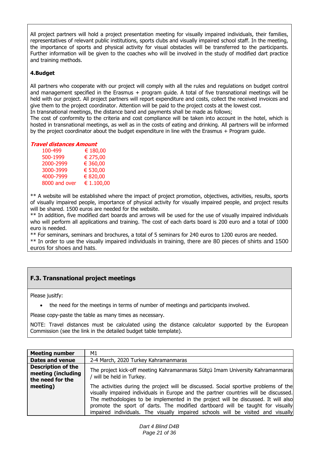All project partners will hold a project presentation meeting for visually impaired individuals, their families, representatives of relevant public institutions, sports clubs and visually impaired school staff. In the meeting, the importance of sports and physical activity for visual obstacles will be transferred to the participants. Further information will be given to the coaches who will be involved in the study of modified dart practice and training methods.

### **4.Budget**

All partners who cooperate with our project will comply with all the rules and regulations on budget control and management specified in the Erasmus + program guide. A total of five transnational meetings will be held with our project. All project partners will report expenditure and costs, collect the received invoices and give them to the project coordinator. Attention will be paid to the project costs at the lowest cost. In transnational meetings, the distance band and payments shall be made as follows;

The cost of conformity to the criteria and cost compliance will be taken into account in the hotel, which is hosted in transnational meetings, as well as in the costs of eating and drinking. All partners will be informed by the project coordinator about the budget expenditure in line with the Erasmus + Program guide.

#### **Travel distances Amount**

| 100-499       | € 180,00   |
|---------------|------------|
| 500-1999      | € 275,00   |
| 2000-2999     | € 360,00   |
| 3000-3999     | € 530,00   |
| 4000-7999     | € 820,00   |
| 8000 and over | € 1.100,00 |

\*\* A website will be established where the impact of project promotion, objectives, activities, results, sports of visually impaired people, importance of physical activity for visually impaired people, and project results will be shared. 1500 euros are needed for the website.

\*\* In addition, five modified dart boards and arrows will be used for the use of visually impaired individuals who will perform all applications and training. The cost of each darts board is 200 euro and a total of 1000 euro is needed.

\*\* For seminars, seminars and brochures, a total of 5 seminars for 240 euros to 1200 euros are needed. \*\* In order to use the visually impaired individuals in training, there are 80 pieces of shirts and 1500 euros for shoes and hats.

### **F.3. Transnational project meetings**

Please jusitfy:

the need for the meetings in terms of number of meetings and participants involved.

Please copy-paste the table as many times as necessary.

NOTE: Travel distances must be calculated using the distance calculator supported by the European Commission (see the link in the detailed budget table template).

| <b>Meeting number</b>                                               | M1                                                                                                                                                                                                                                                                                                                                                                                                                                       |
|---------------------------------------------------------------------|------------------------------------------------------------------------------------------------------------------------------------------------------------------------------------------------------------------------------------------------------------------------------------------------------------------------------------------------------------------------------------------------------------------------------------------|
| Dates and venue                                                     | 2-4 March, 2020 Turkey Kahramanmaras                                                                                                                                                                                                                                                                                                                                                                                                     |
| <b>Description of the</b><br>meeting (including<br>the need for the | The project kick-off meeting Kahramanmaras Sütçü Imam University Kahramanmaras<br>will be held in Turkey.                                                                                                                                                                                                                                                                                                                                |
| meeting)                                                            | The activities during the project will be discussed. Social sportive problems of the<br>visually impaired individuals in Europe and the partner countries will be discussed.<br>The methodologies to be implemented in the project will be discussed. It will also<br>promote the sport of darts. The modified dartboard will be taught for visually<br>impaired individuals. The visually impaired schools will be visited and visually |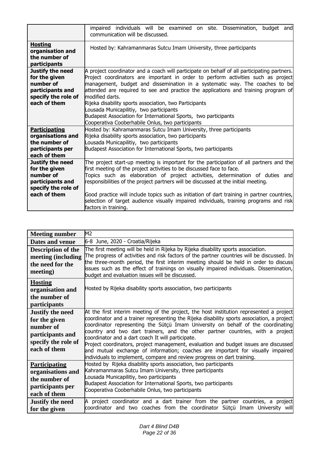|                                                                                                                  | impaired individuals will be examined on site. Dissemination,<br>budget<br>andl<br>communication will be discussed.                                                                                                                                                                                                                                                                                                                                                                                                                                                                                  |
|------------------------------------------------------------------------------------------------------------------|------------------------------------------------------------------------------------------------------------------------------------------------------------------------------------------------------------------------------------------------------------------------------------------------------------------------------------------------------------------------------------------------------------------------------------------------------------------------------------------------------------------------------------------------------------------------------------------------------|
| <b>Hosting</b><br>organisation and<br>the number of<br>participants                                              | Hosted by: Kahramanmaras Sutcu Imam University, three participants                                                                                                                                                                                                                                                                                                                                                                                                                                                                                                                                   |
| Justify the need<br>for the given<br>number of<br>participants and<br>specify the role of<br>each of them        | A project coordinator and a coach will participate on behalf of all participating partners.<br>Project coordinators are important in order to perform activities such as project<br>management, budget and dissemination in a systematic way. The coaches to be<br>attended are required to see and practice the applications and training program of<br>modified darts.<br>Rijeka disability sports association, two Participants<br>Lousada Municapilitiy, two participants<br>Budapest Association for International Sports, two participants<br>Cooperativa Cooberhabile Onlus, two participants |
| <b>Participating</b><br>organisations and<br>the number of<br>participants per<br>each of them                   | Hosted by: Kahramanmaras Sutcu Imam University, three participants<br>Rijeka disability sports association, two participants<br>Lousada Municapilitiy, two participants<br>Budapest Association for International Sports, two participants                                                                                                                                                                                                                                                                                                                                                           |
| <b>Justify the need</b><br>for the given<br>number of<br>participants and<br>specify the role of<br>each of them | The project start-up meeting is important for the participation of all partners and the<br>first meeting of the project activities to be discussed face to face.<br>Topics such as elaboration of project activities, determination of duties and<br>responsibilities of the project partners will be discussed at the initial meeting.<br>Good practice will include topics such as initiation of dart training in partner countries,<br>selection of target audience visually impaired individuals, training programs and risk<br>factors in training.                                             |

| <b>Meeting number</b>                                                                                            | M2                                                                                                                                                                                                                                                                                                                                                                                                                                                                                                                                                                                                                                                                     |
|------------------------------------------------------------------------------------------------------------------|------------------------------------------------------------------------------------------------------------------------------------------------------------------------------------------------------------------------------------------------------------------------------------------------------------------------------------------------------------------------------------------------------------------------------------------------------------------------------------------------------------------------------------------------------------------------------------------------------------------------------------------------------------------------|
| Dates and venue                                                                                                  | 6-8 June, 2020 - Croatia/Rijeka                                                                                                                                                                                                                                                                                                                                                                                                                                                                                                                                                                                                                                        |
| <b>Description of the</b><br>meeting (including<br>the need for the<br>meeting)                                  | The first meeting will be held in Rijeka by Rijeka disability sports association.<br>The progress of activities and risk factors of the partner countries will be discussed. In<br>the three-month period, the first interim meeting should be held in order to discuss<br>issues such as the effect of trainings on visually impaired individuals. Dissemination,<br>budget and evaluation issues will be discussed.                                                                                                                                                                                                                                                  |
| <b>Hosting</b><br>organisation and<br>the number of<br>participants                                              | Hosted by Rijeka disability sports association, two participants                                                                                                                                                                                                                                                                                                                                                                                                                                                                                                                                                                                                       |
| <b>Justify the need</b><br>for the given<br>number of<br>participants and<br>specify the role of<br>each of them | At the first interim meeting of the project, the host institution represented a project<br>coordinator and a trainer representing the Rijeka disability sports association, a project<br>coordinator representing the Sütçü Imam University on behalf of the coordinating<br>country and two dart trainers, and the other partner countries, with a project<br>coordinator and a dart coach It will participate.<br>Project coordinators, project management, evaluation and budget issues are discussed<br>and mutual exchange of information; coaches are important for visually impaired<br>individuals to implement, compare and review progress on dart training. |
| <b>Participating</b><br>organisations and<br>the number of<br>participants per<br>each of them                   | Hosted by Rijeka disability sports association, two participants<br>Kahramanmaras Sutcu Imam University, three participants<br>Lousada Municapilitiy, two participants<br>Budapest Association for International Sports, two participants<br>Cooperativa Cooberhabile Onlus, two participants                                                                                                                                                                                                                                                                                                                                                                          |
| <b>Justify the need</b><br>for the given                                                                         | A project coordinator and a dart trainer from the partner countries, a project<br>coordinator and two coaches from the coordinator Sütçü Imam University will                                                                                                                                                                                                                                                                                                                                                                                                                                                                                                          |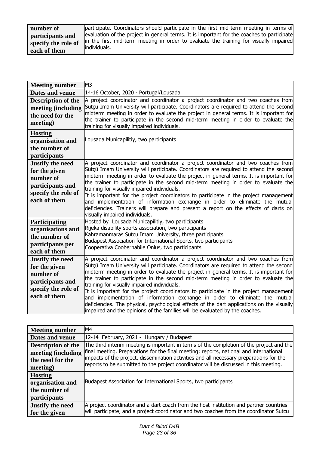| number of           | participate. Coordinators should participate in the first mid-term meeting in terms of                 |
|---------------------|--------------------------------------------------------------------------------------------------------|
| participants and    | evaluation of the project in general terms. It is important for the coaches to participate             |
| specify the role of | in the first mid-term meeting in order to evaluate the training for visually impaired<br>lindividuals. |
| each of them        |                                                                                                        |

| <b>Meeting number</b>                                                                                            | M <sub>3</sub>                                                                                                                                                                                                                                                                                                                                                                                                                                                                                                                                                                                                                                                                                                                                                 |
|------------------------------------------------------------------------------------------------------------------|----------------------------------------------------------------------------------------------------------------------------------------------------------------------------------------------------------------------------------------------------------------------------------------------------------------------------------------------------------------------------------------------------------------------------------------------------------------------------------------------------------------------------------------------------------------------------------------------------------------------------------------------------------------------------------------------------------------------------------------------------------------|
| Dates and venue                                                                                                  | 14-16 October, 2020 - Portugal/Lousada                                                                                                                                                                                                                                                                                                                                                                                                                                                                                                                                                                                                                                                                                                                         |
| <b>Description of the</b><br>meeting (including<br>the need for the<br>meeting)                                  | A project coordinator and coordinator a project coordinator and two coaches from<br>Sütçü Imam University will participate. Coordinators are required to attend the second<br>midterm meeting in order to evaluate the project in general terms. It is important for<br>the trainer to participate in the second mid-term meeting in order to evaluate the<br>training for visually impaired individuals.                                                                                                                                                                                                                                                                                                                                                      |
| <b>Hosting</b><br>organisation and<br>the number of<br>participants                                              | Lousada Municapilitiy, two participants                                                                                                                                                                                                                                                                                                                                                                                                                                                                                                                                                                                                                                                                                                                        |
| <b>Justify the need</b><br>for the given<br>number of<br>participants and<br>specify the role of<br>each of them | A project coordinator and coordinator a project coordinator and two coaches from<br>Sütçü Imam University will participate. Coordinators are required to attend the second<br>midterm meeting in order to evaluate the project in general terms. It is important for<br>the trainer to participate in the second mid-term meeting in order to evaluate the<br>training for visually impaired individuals.<br>It is important for the project coordinators to participate in the project management<br>and implementation of information exchange in order to eliminate the mutual<br>deficiencies. Trainers will prepare and present a report on the effects of darts on<br>visually impaired individuals.                                                     |
| <b>Participating</b><br>organisations and<br>the number of<br>participants per<br>each of them                   | Hosted by Lousada Municapilitiy, two participants<br>Rijeka disability sports association, two participants<br>Kahramanmaras Sutcu Imam University, three participants<br>Budapest Association for International Sports, two participants<br>Cooperativa Cooberhabile Onlus, two participants                                                                                                                                                                                                                                                                                                                                                                                                                                                                  |
| <b>Justify the need</b><br>for the given<br>number of<br>participants and<br>specify the role of<br>each of them | A project coordinator and coordinator a project coordinator and two coaches from<br>Sütçü Imam University will participate. Coordinators are required to attend the second<br>midterm meeting in order to evaluate the project in general terms. It is important for<br>the trainer to participate in the second mid-term meeting in order to evaluate the<br>training for visually impaired individuals.<br>It is important for the project coordinators to participate in the project management<br>and implementation of information exchange in order to eliminate the mutual<br>deficiencies. The physical, psychological effects of the dart applications on the visually<br>impaired and the opinions of the families will be evaluated by the coaches. |

| <b>Meeting number</b>     | M <sub>4</sub>                                                                                                                                                                   |
|---------------------------|----------------------------------------------------------------------------------------------------------------------------------------------------------------------------------|
| Dates and venue           | 12-14 February, 2021 - Hungary / Budapest                                                                                                                                        |
| <b>Description of the</b> | The third interim meeting is important in terms of the completion of the project and the                                                                                         |
| meeting (including        | final meeting. Preparations for the final meeting; reports, national and international                                                                                           |
| the need for the          | impacts of the project, dissemination activities and all necessary preparations for the<br>reports to be submitted to the project coordinator will be discussed in this meeting. |
| meeting)                  |                                                                                                                                                                                  |
| <b>Hosting</b>            |                                                                                                                                                                                  |
| organisation and          | Budapest Association for International Sports, two participants                                                                                                                  |
| the number of             |                                                                                                                                                                                  |
| <i>participants</i>       |                                                                                                                                                                                  |
| <b>Justify the need</b>   | A project coordinator and a dart coach from the host institution and partner countries                                                                                           |
| for the given             | will participate, and a project coordinator and two coaches from the coordinator Sutcu                                                                                           |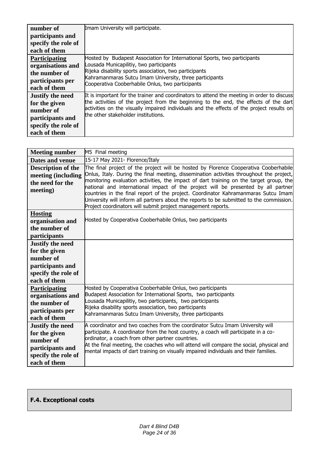| number of               | Imam University will participate.                                                          |
|-------------------------|--------------------------------------------------------------------------------------------|
| participants and        |                                                                                            |
| specify the role of     |                                                                                            |
| each of them            |                                                                                            |
| <b>Participating</b>    | Hosted by Budapest Association for International Sports, two participants                  |
| organisations and       | Lousada Municapilitiy, two participants                                                    |
| the number of           | Rijeka disability sports association, two participants                                     |
| participants per        | Kahramanmaras Sutcu Imam University, three participants                                    |
|                         | Cooperativa Cooberhabile Onlus, two participants                                           |
| each of them            |                                                                                            |
| <b>Justify the need</b> | It is important for the trainer and coordinators to attend the meeting in order to discuss |
| for the given           | the activities of the project from the beginning to the end, the effects of the dart       |
| number of               | activities on the visually impaired individuals and the effects of the project results on  |
| participants and        | the other stakeholder institutions.                                                        |
| specify the role of     |                                                                                            |
| each of them            |                                                                                            |

| <b>Meeting number</b>                                                                                            | M5 Final meeting                                                                                                                                                                                                                                                                                                                                                                                                                                                                                                                                                                                                  |
|------------------------------------------------------------------------------------------------------------------|-------------------------------------------------------------------------------------------------------------------------------------------------------------------------------------------------------------------------------------------------------------------------------------------------------------------------------------------------------------------------------------------------------------------------------------------------------------------------------------------------------------------------------------------------------------------------------------------------------------------|
| Dates and venue                                                                                                  | 15-17 May 2021- Florence/İtaly                                                                                                                                                                                                                                                                                                                                                                                                                                                                                                                                                                                    |
| <b>Description of the</b><br>meeting (including<br>the need for the<br>meeting)                                  | The final project of the project will be hosted by Florence Cooperativa Cooberhabile<br>Onlus, Italy. During the final meeting, dissemination activities throughout the project,<br>monitoring evaluation activities, the impact of dart training on the target group, the<br>national and international impact of the project will be presented by all partner<br>countries in the final report of the project. Coordinator Kahramanmaras Sutcu Imam<br>University will inform all partners about the reports to be submitted to the commission.<br>Project coordinators will submit project management reports. |
| <b>Hosting</b><br>organisation and<br>the number of<br>participants                                              | Hosted by Cooperativa Cooberhabile Onlus, two participants                                                                                                                                                                                                                                                                                                                                                                                                                                                                                                                                                        |
| <b>Justify the need</b><br>for the given<br>number of<br>participants and<br>specify the role of<br>each of them |                                                                                                                                                                                                                                                                                                                                                                                                                                                                                                                                                                                                                   |
| <b>Participating</b><br>organisations and<br>the number of<br>participants per<br>each of them                   | Hosted by Cooperativa Cooberhabile Onlus, two participants<br>Budapest Association for International Sports, two participants<br>Lousada Municapilitiy, two participants, two participants<br>Rijeka disability sports association, two participants<br>Kahramanmaras Sutcu Imam University, three participants                                                                                                                                                                                                                                                                                                   |
| <b>Justify the need</b><br>for the given<br>number of<br>participants and<br>specify the role of<br>each of them | A coordinator and two coaches from the coordinator Sutcu Imam University will<br>participate. A coordinator from the host country, a coach will participate in a co-<br>ordinator, a coach from other partner countries.<br>At the final meeting, the coaches who will attend will compare the social, physical and<br>mental impacts of dart training on visually impaired individuals and their families.                                                                                                                                                                                                       |

### **F.4. Exceptional costs**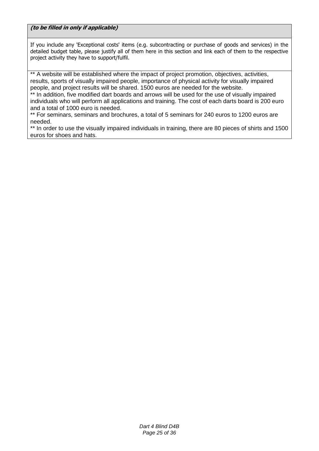**(to be filled in only if applicable)**

If you include any 'Exceptional costs' items (e.g. subcontracting or purchase of goods and services) in the detailed budget table, please justify all of them here in this section and link each of them to the respective project activity they have to support/fulfil.

\*\* A website will be established where the impact of project promotion, objectives, activities, results, sports of visually impaired people, importance of physical activity for visually impaired people, and project results will be shared. 1500 euros are needed for the website.

\*\* In addition, five modified dart boards and arrows will be used for the use of visually impaired individuals who will perform all applications and training. The cost of each darts board is 200 euro and a total of 1000 euro is needed.

\*\* For seminars, seminars and brochures, a total of 5 seminars for 240 euros to 1200 euros are needed.

\*\* In order to use the visually impaired individuals in training, there are 80 pieces of shirts and 1500 euros for shoes and hats.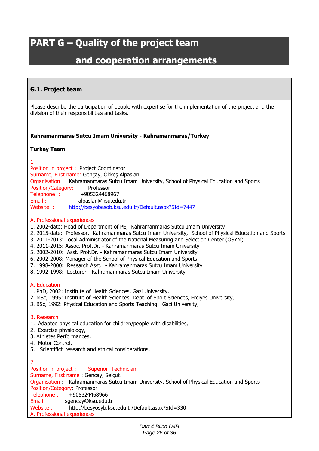# **PART G – Quality of the project team**

## **and cooperation arrangements**

### **G.1. Project team**

Please describe the participation of people with expertise for the implementation of the project and the division of their responsibilities and tasks.

### **Kahramanmaras Sutcu Imam University - Kahramanmaras/Turkey**

### **Turkey Team**

1

Position in project : Project Coordinator Surname, First name: Gençay, Ökkeş Alpaslan Organisation Kahramanmaras Sutcu Imam University, School of Physical Education and Sports Position/Category: Professor Telephone : +905324468967 Email : alpaslan@ksu.edu.tr Website : <http://besyobesob.ksu.edu.tr/Default.aspx?SId=7447>

### A. Professional experiences

- 1. 2002-date: Head of Department of PE, Kahramanmaras Sutcu Imam University
- 2. 2015-date: Professor, Kahramanmaras Sutcu Imam University, School of Physical Education and Sports
- 3. 2011-2013: Local Administrator of the National Measuring and Selection Center (OSYM),
- 4. 2011-2015: Assoc. Prof.Dr. Kahramanmaras Sutcu Imam University
- 5. 2002-2010: Asst. Prof.Dr. Kahramanmaras Sutcu Imam University
- 6. 2002-2008: Manager of the School of Physical Education and Sports
- 7. 1998-2000: Research Asst. Kahramanmaras Sutcu Imam University
- 8. 1992-1998: Lecturer Kahramanmaras Sutcu Imam University

### A. Education

- 1. PhD, 2002: Institute of Health Sciences, Gazi University,
- 2. MSc, 1995: Institute of Health Sciences, Dept. of Sport Sciences, Erciyes University,
- 3. BSc, 1992: Physical Education and Sports Teaching, Gazi University,

### B. Research

- 1. Adapted physical education for children/people with disabilities,
- 2. Exercise physiology,
- 3. Athletes Performances,
- 4. Motor Control,
- 5. Scientifich research and ethical considerations.

 $\overline{2}$ Position in project : Superior Technician Surname, First name : Gençay, Selçuk Organisation : Kahramanmaras Sutcu Imam University, School of Physical Education and Sports Position/Category: Professor Telephone: +905324468966 Email: sgencay@ksu.edu.tr Website : http://besyosyb.ksu.edu.tr/Default.aspx?SId=330 A. Professional experiences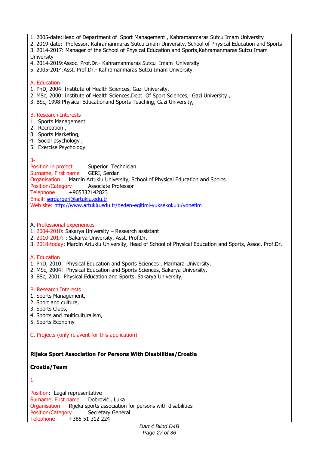- 1. 2005-date:Head of Department of Sport Management , Kahramanmaras Sutcu Imam University
- 2. 2019-date: Professor, Kahramanmaras Sutcu Imam University, School of Physical Education and Sports 3. 2014-2017: Manager of the School of Physical Education and Sports,Kahramanmaras Sutcu Imam University
- 4. 2014-2019:Assoc. Prof.Dr.- Kahramanmaras Sutcu Imam University
- 5. 2005-2014:Asst. Prof.Dr.- Kahramanmaras Sutcu Imam University

### A. Education

- 1. PhD, 2004: Institute of Health Sciences, Gazi University,
- 2. MSc, 2000: Institute of Health Sciences,Dept. Of Sport Sciences, Gazi University ,
- 3. BSc, 1998:Physical Educationand Sports Teaching, Gazi University,

### B. Research Interests

- 1. Sports Management
- 2. Recreation ,
- 3. Sports Marketing,
- 4. Social psychology ,
- 5. Exercise Psychology

### 3-

Position in project Superior Technician Surname, First name GERI, Serdar Organisation Mardin Artuklu University, School of Physical Education and Sports Position/Category Associate Professor Telephone +905332142823 Email: [serdargeri@artuklu.edu.tr](mailto:serdargeri@artuklu.edu.tr) Web site: <http://www.artuklu.edu.tr/beden-egitimi-yuksekokulu/yonetim>

### A. Professional experiences

- 1. 2004-2010: Sakarya University Research assistant
- 2. 2010-2017: : Sakarya University, Asst. Prof.Dr.
- 3. 2018-today: Mardin Artuklu University, Head of School of Physical Education and Sports, Assoc. Prof.Dr.

### A. Education

- 1. PhD, 2010: Physical Education and Sports Sciences , Marmara University,
- 2. MSc, 2004: Physical Education and Sports Sciences, Sakarya University,
- 3. BSc, 2001: Physical Education and Sports, Sakarya University,

### B. Research Interests

- 1. Sports Management,
- 2. Sport and culture,
- 3. Sports Clubs,
- 4. Sports and multiculturalism,
- 5. Sports Economy
- C. Projects (only relavent for this application)

### **Rijeka Sport Association For Persons With Disabilities/Croatia**

### **Croatia/Team**

### 1-

Position: Legal representative Surname, First name Dobrović , Luka Organisation Rijeka sports association for persons with disabilities Position/Category Secretary General Telephone +385 51 312 224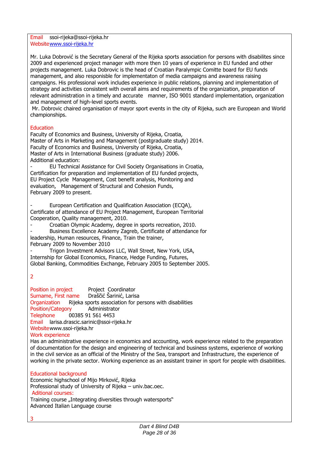Email ssoi-rijeka@ssoi-rijeka.hr Websit[ewww.ssoi-rijeka.hr](http://www.ssoi-rijeka.hr/)

Mr. Luka Dobrović is the Secretary General of the Rijeka sports association for persons with disabilites since 2009 and experienced project manager with more then 10 years of experience in EU funded and other projects management. Luka Dobrovic is the head of Croatian Paralympic Comitte board for EU funds management, and also responisble for implementaton of media campaigns and awareness raising campaigns. His professional work includes experience in public relations, planning and implementation of strategy and activities consistent with overall aims and requirements of the organization, preparation of relevant administration in a timely and accurate manner, ISO 9001 standard implementation, organization and management of high-level sports events.

Mr. Dobrovic chaired organisation of mayor sport events in the city of Rijeka, such are European and World championships.

### Education

Faculty of Economics and Business, University of Rijeka, Croatia, Master of Arts in Marketing and Management (postgraduate study) 2014. Faculty of Economics and Business, University of Rijeka, Croatia, Master of Arts in International Business (graduate study) 2006. Additional education:

- EU Technical Assistance for Civil Society Organisations in Croatia, Certification for preparation and implementation of EU funded projects, EU Project Cycle Management, Cost benefit analysis, Monitoring and evaluation, Management of Structural and Cohesion Funds, February 2009 to present.

European Certification and Qualification Association (ECQA), Certificate of attendance of EU Project Management, European Territorial Cooperation, Quality management, 2010.

- Croatian Olympic Academy, degree in sports recreation, 2010.

Business Excellence Academy Zagreb, Certificate of attendance for leadership, Human resources, Finance, Train the trainer,

February 2009 to November 2010

Trigon Investment Advisors LLC, Wall Street, New York, USA, Internship for Global Economics, Finance, Hedge Funding, Futures, Global Banking, Commodities Exchange, February 2005 to September 2005.

2

3

Position in project Project Coordinator Surname, First name Draščić Šarinić, Larisa Organization Rijeka sports association for persons with disabilities Position/Category Administrator Telephone 00385 91 561 4453 Email larisa.drascic.sarinic@ssoi-rijeka.hr Websitewww.ssoi-rijeka.hr

### Work experience

Has an administrative experience in economics and accounting, work experience related to the preparation of documentation for the design and engineering of technical and business systems, experience of working in the civil service as an official of the Ministry of the Sea, transport and Infrastructure, the experience of working in the private sector. Working experience as an assistant trainer in sport for people with disabilities.

### Educational background

Economic highschool of Mijo Mirković, Rijeka Professional study of University of Rijeka – univ.bac.oec. Aditional courses: Training course "Integrating diversities through watersports" Advanced Italian Language course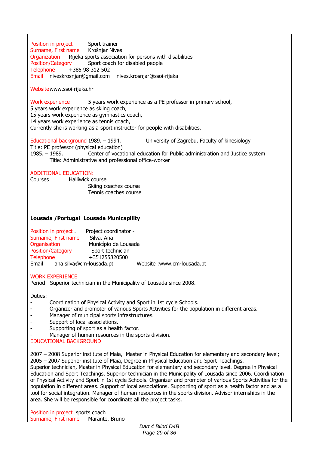Position in project Sport trainer<br>Surname, First name Krošnjar Nives Surname, First name<br>Organization Rijeka Rijeka sports association for persons with disabilities Position/Category Sport coach for disabled people Telephone +385 98 312 502 Email niveskrosnjar@gmail.com nives.krosnjar@ssoi-rijeka

Websitewww.ssoi-rijeka.hr

Work experience 5 years work experience as a PE professor in primary school,

5 years work experience as skiing coach,

15 years work experience as gymnastics coach,

14 years work experience as tennis coach,

Currently she is working as a sport instructor for people with disabilities.

Educational background 1989. – 1994. University of Zagrebu, Faculty of kinesiology

Title: PE professor (physical education)

1985. – 1989. Center of vocational education for Public administration and Justice system Title: Administrative and professional office-worker

### ADDITIONAL EDUCATION:

Courses Halliwick course Skiing coaches course Tennis coaches course

### **Lousada /Portugal Lousada Municapility**

| Position in project | Project coordinator -   |                            |
|---------------------|-------------------------|----------------------------|
| Surname, First name | Silva, Ana              |                            |
| Organisation        | Município de Lousada    |                            |
| Position/Category   | Sport technician        |                            |
| <b>Telephone</b>    | +351255820500           |                            |
| Email               | ana.silva@cm-lousada.pt | Website: www.cm-lousada.pt |

### WORK EXPERIENCE

Period Superior technician in the Municipality of Lousada since 2008.

Duties:

- Coordination of Physical Activity and Sport in 1st cycle Schools.
- Organizer and promoter of various Sports Activities for the population in different areas.
- Manager of municipal sports infrastructures.
- Support of local associations.
- Supporting of sport as a health factor.
- Manager of human resources in the sports division.

### EDUCATIONAL BACKGROUND

2007 – 2008 Superior institute of Maia, Master in Physical Education for elementary and secondary level; 2005 – 2007 Superior institute of Maia, Degree in Physical Education and Sport Teachings. Superior technician, Master in Physical Education for elementary and secondary level. Degree in Physical

Education and Sport Teachings. Superior technician in the Municipality of Lousada since 2006. Coordination of Physical Activity and Sport in 1st cycle Schools. Organizer and promoter of various Sports Activities for the population in different areas. Support of local associations. Supporting of sport as a health factor and as a tool for social integration. Manager of human resources in the sports division. Advisor internships in the area. She will be responsible for coordinate all the project tasks.

Position in project sports coach Surname, First name Marante, Bruno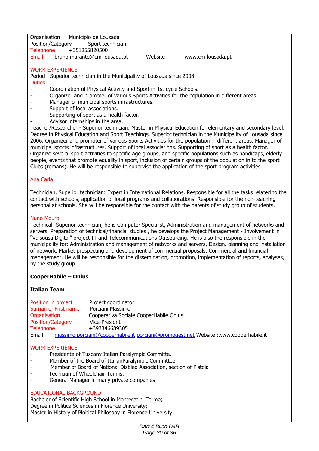Organisation Município de Lousada<br>Position/Category Sport technician Position/Category<br>Telephone + Telephone +351255820500<br>Email bruno.marante@cm-lou bruno.marante@cm-lousada.pt Website www.cm-lousada.pt

#### WORK EXPERIENCE

Period Superior technician in the Municipality of Lousada since 2008.

- Duties:
- Coordination of Physical Activity and Sport in 1st cycle Schools.
- Organizer and promoter of various Sports Activities for the population in different areas.
- Manager of municipal sports infrastructures.
- Support of local associations.
- Supporting of sport as a health factor.
- Advisor internships in the area.

Teacher/Researcher - Superior technician, Master in Physical Education for elementary and secondary level. Degree in Physical Education and Sport Teachings. Superior technician in the Municipality of Lousada since 2006. Organizer and promoter of various Sports Activities for the population in different areas. Manager of municipal sports infrastructures. Support of local associations. Supporting of sport as a health factor. Organize several sport activities to specific age groups, and specific populations such as handicaps, elderly people, events that promote equality in sport, inclusion of certain groups of the population in to the sport Clubs (romans). He will be responsible to supervise the application of the sport program activities

### Ana Carla

Technician, Superior technician: Expert in International Relations. Responsible for all the tasks related to the contact with schools, application of local programs and collaborations. Responsible for the non-teaching personal at schools. She will be responsible for the contact with the parents of study group of students.

#### Nuno Mouro

Technical -Superior technician, he is Computer Specialist, Administration and management of networks and servers, Preparation of technical/financial studies , he develops the Project Management - Involvement in "Valsousa Digital" project IT and Telecommunications Outsourcing. He is also the responsible in the municipality for: Administration and management of networks and servers, Design, planning and installation of network, Market prospecting and development of commercial proposals, Commercial and financial management. He will be responsible for the dissemination, promotion, implementation of reports, analyses, by the study group.

#### **CooperHabile – Onlus**

#### **Italian Team**

Position in project . Project coordinator Surname, First name Porciani Massimo<br>Organisation Cooperativa Social Cooperativa Sociale CooperHabile Onlus Position/Category Vice-Presidnt Telephone +393346689305 Email [massimo.porciani@cooperhabile.it](mailto:massimo.porciani@cooperhabile.it) [porciani@promogest.net](mailto:porciani@promogest.net) Website :www.cooperhabile.it

#### WORK EXPERIENCE

- Presidente of Tuscany Italian Paralympic Committe.
- Member of the Board of ItalianParalympic Committee.
- Member of Board of National Disbled Association, section of Pistoia
- Tecnician of Wheelchair Tennis.
- General Manager in many private companies

#### EDUCATIONAL BACKGROUND

Bachelor of Scientific High School in Montecatini Terme; Degree in Politica Sciences in Florence University; Master in History of Ploitical Philosopy in Florence University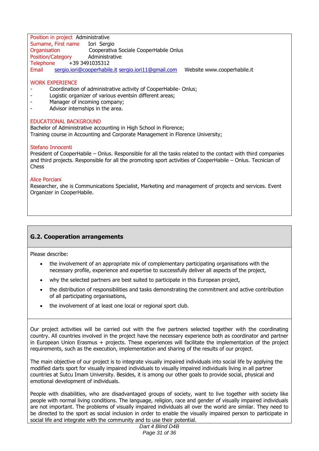Position in project Administrative Surname, First name Iori Sergio<br>Organisation Cooperativa Cooperativa Sociale CooperHabile Onlus Position/Category Administrative Telephone +39 3491035312 Email [sergio.iori@cooperhabile.it](mailto:sergio.iori@cooperhabile.it) [sergio.iori11@gmail.com](mailto:sergio.iori11@gmail.com) Website www.cooperhabile.it

### WORK EXPERIENCE

- Coordination of administrative activity of CooperHabile- Onlus;
- Logistic organizer of various eventsin different areas;
- Manager of incoming company;
- Advisor internships in the area.

### EDUCATIONAL BACKGROUND

Bachelor of Administrative accounting in High School in Florence; Training course in Accounting and Corporate Management in Florence University;

### Stefano Innocenti

President of CooperHabile – Onlus. Responsible for all the tasks related to the contact with third companies and third projects. Responsible for all the promoting sport activities of CooperHabile – Onlus. Tecnician of Chess

#### Alice Porciani

Researcher, she is Communications Specialist, Marketing and management of projects and services. Event Organizer in CooperHabile.

### **G.2. Cooperation arrangements**

Please describe:

- the involvement of an appropriate mix of complementary participating organisations with the necessary profile, experience and expertise to successfully deliver all aspects of the project,
- why the selected partners are best suited to participate in this European project,
- the distribution of responsibilities and tasks demonstrating the commitment and active contribution of all participating organisations,
- the involvement of at least one local or regional sport club.

Our project activities will be carried out with the five partners selected together with the coordinating country. All countries involved in the project have the necessary experience both as coordinator and partner in European Union Erasmus + projects. These experiences will facilitate the implementation of the project requirements, such as the execution, implementation and sharing of the results of our project.

The main objective of our project is to integrate visually impaired individuals into social life by applying the modified darts sport for visually impaired individuals to visually impaired individuals living in all partner countries at Sutcu Imam University. Besides, it is among our other goals to provide social, physical and emotional development of individuals.

People with disabilities, who are disadvantaged groups of society, want to live together with society like people with normal living conditions. The language, religion, race and gender of visually impaired individuals are not important. The problems of visually impaired individuals all over the world are similar. They need to be directed to the sport as social inclusion in order to enable the visually impaired person to participate in social life and integrate with the community and to use their potential.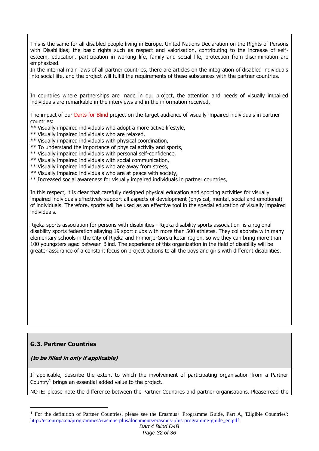This is the same for all disabled people living in Europe. United Nations Declaration on the Rights of Persons with Disabilities; the basic rights such as respect and valorisation, contributing to the increase of selfesteem, education, participation in working life, family and social life, protection from discrimination are emphasized.

In the internal main laws of all partner countries, there are articles on the integration of disabled individuals into social life, and the project will fulfill the requirements of these substances with the partner countries.

In countries where partnerships are made in our project, the attention and needs of visually impaired individuals are remarkable in the interviews and in the information received.

The impact of our Darts for Blind project on the target audience of visually impaired individuals in partner countries:

- \*\* Visually impaired individuals who adopt a more active lifestyle,
- \*\* Visually impaired individuals who are relaxed,
- \*\* Visually impaired individuals with physical coordination,
- \*\* To understand the importance of physical activity and sports,
- \*\* Visually impaired individuals with personal self-confidence,
- \*\* Visually impaired individuals with social communication,
- \*\* Visually impaired individuals who are away from stress,
- \*\* Visually impaired individuals who are at peace with society,
- \*\* Increased social awareness for visually impaired individuals in partner countries,

In this respect, it is clear that carefully designed physical education and sporting activities for visually impaired individuals effectively support all aspects of development (physical, mental, social and emotional) of individuals. Therefore, sports will be used as an effective tool in the special education of visually impaired individuals.

Rijeka sports association for persons with disabilities - Rijeka disability sports association is a regional disability sports federation allaying 19 sport clubs with more than 500 athletes. They collaborate with many elementary schools in the City of Rijeka and Primorie-Gorski kotar region, so we they can bring more than 100 youngsters aged between Blind. The experience of this organization in the field of disability will be greater assurance of a constant focus on project actions to all the boys and girls with different disabilities.

### **G.3. Partner Countries**

<u>.</u>

**(to be filled in only if applicable)**

If applicable, describe the extent to which the involvement of participating organisation from a Partner Country<sup>1</sup> brings an essential added value to the project.

NOTE: please note the difference between the Partner Countries and partner organisations. Please read the

<sup>&</sup>lt;sup>1</sup> For the definition of Partner Countries, please see the Erasmus+ Programme Guide, Part A, 'Eligible Countries': [http://ec.europa.eu/programmes/erasmus-plus/documents/erasmus-plus-programme-guide\\_en.pdf](http://ec.europa.eu/programmes/erasmus-plus/documents/erasmus-plus-programme-guide_en.pdf)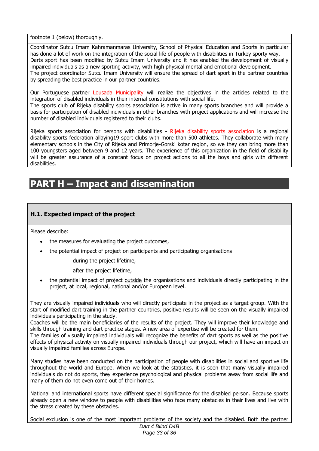footnote 1 (below) thoroughly.

Coordinator Sutcu Imam Kahramanmaras University, School of Physical Education and Sports in particular has done a lot of work on the integration of the social life of people with disabilities in Turkey sporty way. Darts sport has been modified by Sutcu Imam University and it has enabled the development of visually impaired individuals as a new sporting activity, with high physical mental and emotional development. The project coordinator Sutcu Imam University will ensure the spread of dart sport in the partner countries by spreading the best practice in our partner countries.

Our Portuguese partner Lousada Municipality will realize the objectives in the articles related to the integration of disabled individuals in their internal constitutions with social life.

The sports club of Rijeka disability sports association is active in many sports branches and will provide a basis for participation of disabled individuals in other branches with project applications and will increase the number of disabled individuals registered to their clubs.

Rijeka sports association for persons with disabilities - Rijeka disability sports association is a regional disability sports federation allaying19 sport clubs with more than 500 athletes. They collaborate with many elementary schools in the City of Rijeka and Primorie-Gorski kotar region, so we they can bring more than 100 youngsters aged between 9 and 12 years. The experience of this organization in the field of disability will be greater assurance of a constant focus on project actions to all the boys and girls with different disabilities.

## **PART H – Impact and dissemination**

### **H.1. Expected impact of the project**

Please describe:

- the measures for evaluating the project outcomes,
- the potential impact of project on participants and participating organisations
	- during the project lifetime,
	- after the project lifetime,
- the potential impact of project outside the organisations and individuals directly participating in the project, at local, regional, national and/or European level.

They are visually impaired individuals who will directly participate in the project as a target group. With the start of modified dart training in the partner countries, positive results will be seen on the visually impaired individuals participating in the study.

Coaches will be the main beneficiaries of the results of the project. They will improve their knowledge and skills through training and dart practice stages. A new area of expertise will be created for them.

The families of visually impaired individuals will recognize the benefits of dart sports as well as the positive effects of physical activity on visually impaired individuals through our project, which will have an impact on visually impaired families across Europe.

Many studies have been conducted on the participation of people with disabilities in social and sportive life throughout the world and Europe. When we look at the statistics, it is seen that many visually impaired individuals do not do sports, they experience psychological and physical problems away from social life and many of them do not even come out of their homes.

National and international sports have different special significance for the disabled person. Because sports already open a new window to people with disabilities who face many obstacles in their lives and live with the stress created by these obstacles.

Social exclusion is one of the most important problems of the society and the disabled. Both the partner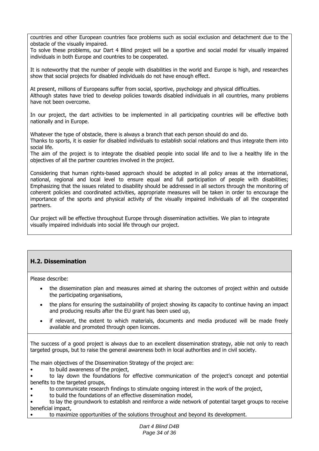countries and other European countries face problems such as social exclusion and detachment due to the obstacle of the visually impaired.

To solve these problems, our Dart 4 Blind project will be a sportive and social model for visually impaired individuals in both Europe and countries to be cooperated.

It is noteworthy that the number of people with disabilities in the world and Europe is high, and researches show that social projects for disabled individuals do not have enough effect.

At present, millions of Europeans suffer from social, sportive, psychology and physical difficulties. Although states have tried to develop policies towards disabled individuals in all countries, many problems have not been overcome.

In our project, the dart activities to be implemented in all participating countries will be effective both nationally and in Europe.

Whatever the type of obstacle, there is always a branch that each person should do and do.

Thanks to sports, it is easier for disabled individuals to establish social relations and thus integrate them into social life.

The aim of the project is to integrate the disabled people into social life and to live a healthy life in the objectives of all the partner countries involved in the project.

Considering that human rights-based approach should be adopted in all policy areas at the international, national, regional and local level to ensure equal and full participation of people with disabilities; Emphasizing that the issues related to disability should be addressed in all sectors through the monitoring of coherent policies and coordinated activities, appropriate measures will be taken in order to encourage the importance of the sports and physical activity of the visually impaired individuals of all the cooperated partners.

Our project will be effective throughout Europe through dissemination activities. We plan to integrate visually impaired individuals into social life through our project.

### **H.2. Dissemination**

Please describe:

- the dissemination plan and measures aimed at sharing the outcomes of project within and outside the participating organisations,
- the plans for ensuring the sustainability of project showing its capacity to continue having an impact and producing results after the EU grant has been used up,
- if relevant, the extent to which materials, documents and media produced will be made freely available and promoted through open licences.

The success of a good project is always due to an excellent dissemination strategy, able not only to reach targeted groups, but to raise the general awareness both in local authorities and in civil society.

The main objectives of the Dissemination Strategy of the project are:

to build awareness of the project,

• to lay down the foundations for effective communication of the project's concept and potential benefits to the targeted groups,

- to communicate research findings to stimulate ongoing interest in the work of the project,
- to build the foundations of an effective dissemination model,

• to lay the groundwork to establish and reinforce a wide network of potential target groups to receive beneficial impact,

• to maximize opportunities of the solutions throughout and beyond its development.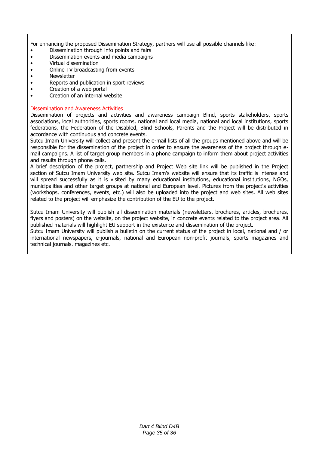For enhancing the proposed Dissemination Strategy, partners will use all possible channels like:

- Dissemination through info points and fairs
- Dissemination events and media campaigns
- Virtual dissemination
- Online TV broadcasting from events
- Newsletter
- Reports and publication in sport reviews
- Creation of a web portal
- Creation of an internal website

#### Dissemination and Awareness Activities

Dissemination of projects and activities and awareness campaign Blind, sports stakeholders, sports associations, local authorities, sports rooms, national and local media, national and local institutions, sports federations, the Federation of the Disabled, Blind Schools, Parents and the Project will be distributed in accordance with continuous and concrete events.

Sutcu Imam University will collect and present the e-mail lists of all the groups mentioned above and will be responsible for the dissemination of the project in order to ensure the awareness of the project through email campaigns. A list of target group members in a phone campaign to inform them about project activities and results through phone calls.

A brief description of the project, partnership and Project Web site link will be published in the Project section of Sutcu Imam University web site. Sutcu Imam's website will ensure that its traffic is intense and will spread successfully as it is visited by many educational institutions, educational institutions, NGOs, municipalities and other target groups at national and European level. Pictures from the project's activities (workshops, conferences, events, etc.) will also be uploaded into the project and web sites. All web sites related to the project will emphasize the contribution of the EU to the project.

Sutcu Imam University will publish all dissemination materials (newsletters, brochures, articles, brochures, flyers and posters) on the website, on the project website, in concrete events related to the project area. All published materials will highlight EU support in the existence and dissemination of the project.

Sutcu Imam University will publish a bulletin on the current status of the project in local, national and / or international newspapers, e-journals, national and European non-profit journals, sports magazines and technical journals. magazines etc.